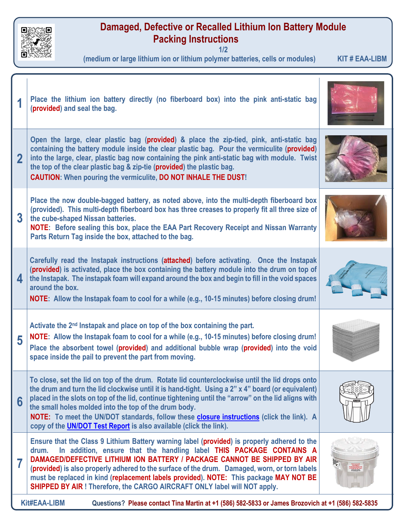

## **Damaged, Defective or Recalled Lithium Ion Battery Module Packing Instructions**

**1/2**

**(medium or large lithium ion or lithium polymer batteries, cells or modules) KIT # EAA-LIBM**

|                                                                                                                           | Place the lithium ion battery directly (no fiberboard box) into the pink anti-static bag<br>(provided) and seal the bag.                                                                                                                                                                                                                                                                                                                                                                                                               |                                                                                                    |  |
|---------------------------------------------------------------------------------------------------------------------------|----------------------------------------------------------------------------------------------------------------------------------------------------------------------------------------------------------------------------------------------------------------------------------------------------------------------------------------------------------------------------------------------------------------------------------------------------------------------------------------------------------------------------------------|----------------------------------------------------------------------------------------------------|--|
|                                                                                                                           | Open the large, clear plastic bag (provided) & place the zip-tied, pink, anti-static bag<br>containing the battery module inside the clear plastic bag. Pour the vermiculite (provided)<br>into the large, clear, plastic bag now containing the pink anti-static bag with module. Twist<br>the top of the clear plastic bag & zip-tie (provided) the plastic bag.<br><b>CAUTION:</b> When pouring the vermiculite, DO NOT INHALE THE DUST!                                                                                            |                                                                                                    |  |
| $\overline{3}$                                                                                                            | Place the now double-bagged battery, as noted above, into the multi-depth fiberboard box<br>(provided). This multi-depth fiberboard box has three creases to properly fit all three size of<br>the cube-shaped Nissan batteries.<br>NOTE: Before sealing this box, place the EAA Part Recovery Receipt and Nissan Warranty<br>Parts Return Tag inside the box, attached to the bag.                                                                                                                                                    |                                                                                                    |  |
| 4                                                                                                                         | Carefully read the Instapak instructions (attached) before activating. Once the Instapak<br>(provided) is activated, place the box containing the battery module into the drum on top of<br>the Instapak. The instapak foam will expand around the box and begin to fill in the void spaces<br>around the box.<br>NOTE: Allow the Instapak foam to cool for a while (e.g., 10-15 minutes) before closing drum!                                                                                                                         |                                                                                                    |  |
| 5                                                                                                                         | Activate the 2 <sup>nd</sup> Instapak and place on top of the box containing the part.<br>NOTE: Allow the Instapak foam to cool for a while (e.g., 10-15 minutes) before closing drum!<br>Place the absorbent towel (provided) and additional bubble wrap (provided) into the void<br>space inside the pail to prevent the part from moving.                                                                                                                                                                                           |                                                                                                    |  |
| 6                                                                                                                         | To close, set the lid on top of the drum. Rotate lid counterclockwise until the lid drops onto<br>the drum and turn the lid clockwise until it is hand-tight. Using a 2" x 4" board (or equivalent)<br>placed in the slots on top of the lid, continue tightening until the "arrow" on the lid aligns with<br>the small holes molded into the top of the drum body.<br>NOTE: To meet the UN/DOT standards, follow these closure instructions (click the link). A<br>copy of the UN/DOT Test Report is also available (click the link). |                                                                                                    |  |
| 7                                                                                                                         | Ensure that the Class 9 Lithium Battery warning label (provided) is properly adhered to the<br>In addition, ensure that the handling label THIS PACKAGE CONTAINS A<br>drum.<br>DAMAGED/DEFECTIVE LITHIUM ION BATTERY / PACKAGE CANNOT BE SHIPPED BY AIR<br>(provided) is also properly adhered to the surface of the drum. Damaged, worn, or torn labels<br>must be replaced in kind (replacement labels provided). NOTE: This package MAY NOT BE<br>SHIPPED BY AIR ! Therefore, the CARGO AIRCRAFT ONLY label will NOT apply.         | THE PACKAGE<br>CONTAINS A<br>MMAGEDIDEFECTI<br>THEM ICH BATTE<br>MOGAGE CARNOT<br>IR SIGNIFO BY AR |  |
| <b>Kit#EAA-LIBM</b><br>Questions? Please contact Tina Martin at +1 (586) 582-5833 or James Brozovich at +1 (586) 582-5835 |                                                                                                                                                                                                                                                                                                                                                                                                                                                                                                                                        |                                                                                                    |  |